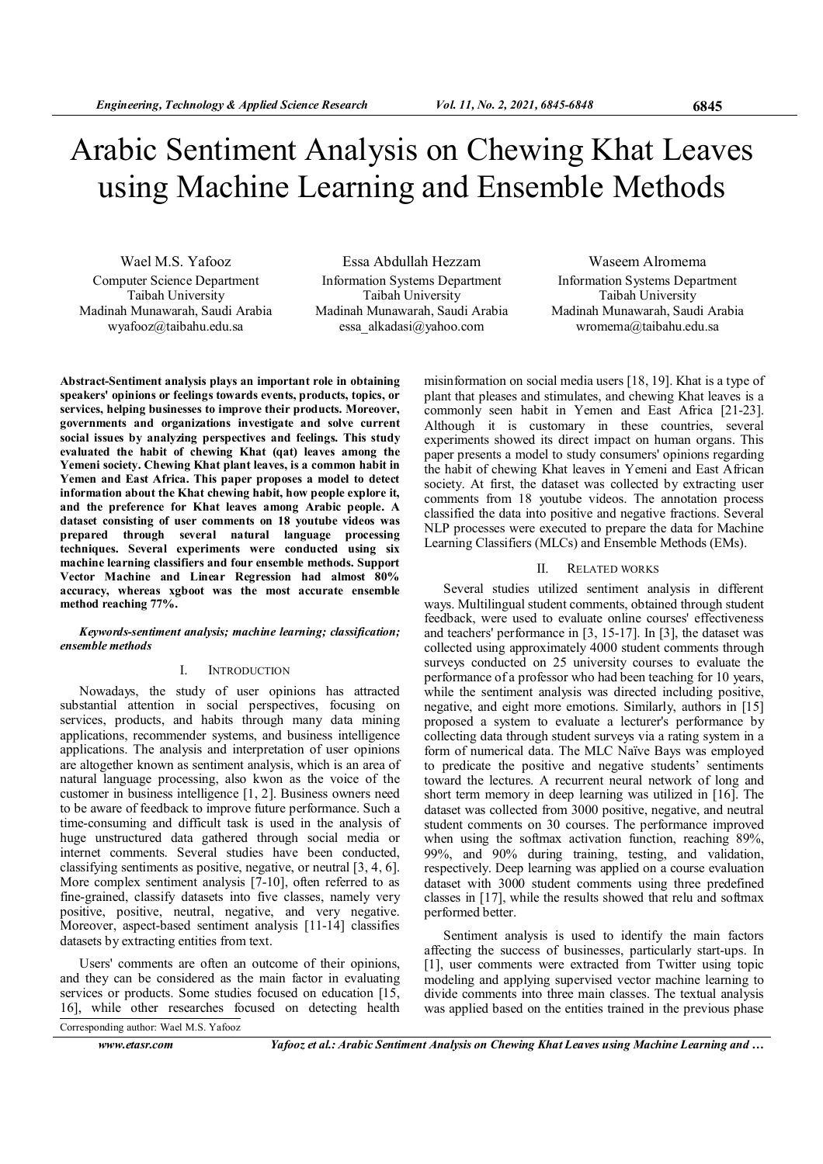# Arabic Sentiment Analysis on Chewing Khat Leaves using Machine Learning and Ensemble Methods

Wael M.S. Yafooz Computer Science Department Taibah University Madinah Munawarah, Saudi Arabia wyafooz@taibahu.edu.sa

Essa Abdullah Hezzam Information Systems Department Taibah University Madinah Munawarah, Saudi Arabia essa\_alkadasi@yahoo.com

Waseem Alromema Information Systems Department Taibah University Madinah Munawarah, Saudi Arabia wromema@taibahu.edu.sa

Abstract-Sentiment analysis plays an important role in obtaining speakers' opinions or feelings towards events, products, topics, or services, helping businesses to improve their products. Moreover, governments and organizations investigate and solve current social issues by analyzing perspectives and feelings. This study evaluated the habit of chewing Khat (qat) leaves among the Yemeni society. Chewing Khat plant leaves, is a common habit in Yemen and East Africa. This paper proposes a model to detect information about the Khat chewing habit, how people explore it, and the preference for Khat leaves among Arabic people. A dataset consisting of user comments on 18 youtube videos was prepared through several natural language processing techniques. Several experiments were conducted using six machine learning classifiers and four ensemble methods. Support Vector Machine and Linear Regression had almost 80% accuracy, whereas xgboot was the most accurate ensemble method reaching 77%.

#### Keywords-sentiment analysis; machine learning; classification; ensemble methods

## I. INTRODUCTION

Nowadays, the study of user opinions has attracted substantial attention in social perspectives, focusing on services, products, and habits through many data mining applications, recommender systems, and business intelligence applications. The analysis and interpretation of user opinions are altogether known as sentiment analysis, which is an area of natural language processing, also kwon as the voice of the customer in business intelligence [1, 2]. Business owners need to be aware of feedback to improve future performance. Such a time-consuming and difficult task is used in the analysis of huge unstructured data gathered through social media or internet comments. Several studies have been conducted, classifying sentiments as positive, negative, or neutral [3, 4, 6]. More complex sentiment analysis [7-10], often referred to as fine-grained, classify datasets into five classes, namely very positive, positive, neutral, negative, and very negative. Moreover, aspect-based sentiment analysis [11-14] classifies datasets by extracting entities from text.

Users' comments are often an outcome of their opinions, and they can be considered as the main factor in evaluating services or products. Some studies focused on education [15, 16], while other researches focused on detecting health Corresponding author: Wael M.S. Yafooz

misinformation on social media users [18, 19]. Khat is a type of plant that pleases and stimulates, and chewing Khat leaves is a commonly seen habit in Yemen and East Africa [21-23]. Although it is customary in these countries, several experiments showed its direct impact on human organs. This paper presents a model to study consumers' opinions regarding the habit of chewing Khat leaves in Yemeni and East African society. At first, the dataset was collected by extracting user comments from 18 youtube videos. The annotation process classified the data into positive and negative fractions. Several NLP processes were executed to prepare the data for Machine Learning Classifiers (MLCs) and Ensemble Methods (EMs).

#### II. RELATED WORKS

Several studies utilized sentiment analysis in different ways. Multilingual student comments, obtained through student feedback, were used to evaluate online courses' effectiveness and teachers' performance in [3, 15-17]. In [3], the dataset was collected using approximately 4000 student comments through surveys conducted on 25 university courses to evaluate the performance of a professor who had been teaching for 10 years, while the sentiment analysis was directed including positive, negative, and eight more emotions. Similarly, authors in [15] proposed a system to evaluate a lecturer's performance by collecting data through student surveys via a rating system in a form of numerical data. The MLC Naïve Bays was employed to predicate the positive and negative students' sentiments toward the lectures. A recurrent neural network of long and short term memory in deep learning was utilized in [16]. The dataset was collected from 3000 positive, negative, and neutral student comments on 30 courses. The performance improved when using the softmax activation function, reaching 89%, 99%, and 90% during training, testing, and validation, respectively. Deep learning was applied on a course evaluation dataset with 3000 student comments using three predefined classes in [17], while the results showed that relu and softmax performed better.

Sentiment analysis is used to identify the main factors affecting the success of businesses, particularly start-ups. In [1], user comments were extracted from Twitter using topic modeling and applying supervised vector machine learning to divide comments into three main classes. The textual analysis was applied based on the entities trained in the previous phase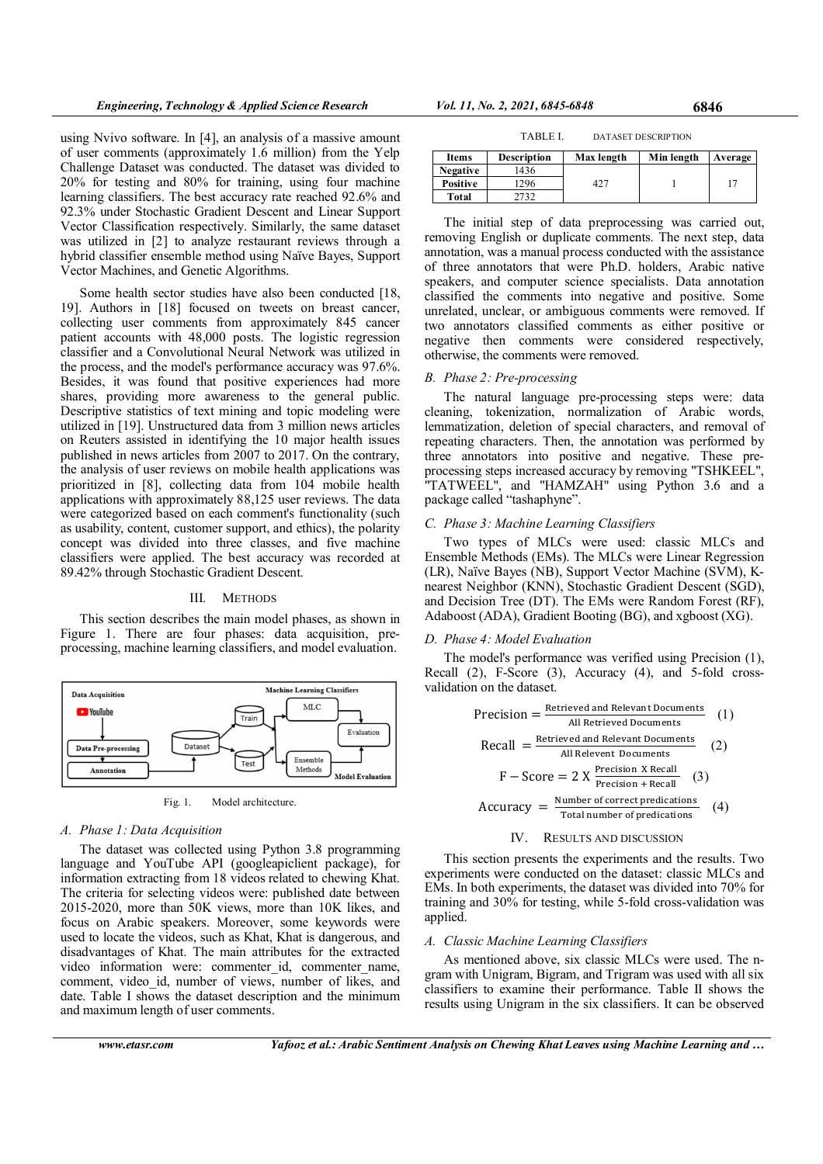using Nvivo software. In [4], an analysis of a massive amount of user comments (approximately 1.6 million) from the Yelp Challenge Dataset was conducted. The dataset was divided to 20% for testing and 80% for training, using four machine learning classifiers. The best accuracy rate reached 92.6% and 92.3% under Stochastic Gradient Descent and Linear Support Vector Classification respectively. Similarly, the same dataset was utilized in [2] to analyze restaurant reviews through a hybrid classifier ensemble method using Naïve Bayes, Support Vector Machines, and Genetic Algorithms.

Some health sector studies have also been conducted [18, 19]. Authors in [18] focused on tweets on breast cancer, collecting user comments from approximately 845 cancer patient accounts with 48,000 posts. The logistic regression classifier and a Convolutional Neural Network was utilized in the process, and the model's performance accuracy was 97.6%. Besides, it was found that positive experiences had more shares, providing more awareness to the general public. Descriptive statistics of text mining and topic modeling were utilized in [19]. Unstructured data from 3 million news articles on Reuters assisted in identifying the 10 major health issues published in news articles from 2007 to 2017. On the contrary, the analysis of user reviews on mobile health applications was prioritized in [8], collecting data from 104 mobile health applications with approximately 88,125 user reviews. The data were categorized based on each comment's functionality (such as usability, content, customer support, and ethics), the polarity concept was divided into three classes, and five machine classifiers were applied. The best accuracy was recorded at 89.42% through Stochastic Gradient Descent.

## III. METHODS

This section describes the main model phases, as shown in Figure 1. There are four phases: data acquisition, preprocessing, machine learning classifiers, and model evaluation.



Fig. 1. Model architecture.

## A. Phase 1: Data Acquisition

The dataset was collected using Python 3.8 programming language and YouTube API (googleapiclient package), for information extracting from 18 videos related to chewing Khat. The criteria for selecting videos were: published date between 2015-2020, more than 50K views, more than 10K likes, and focus on Arabic speakers. Moreover, some keywords were used to locate the videos, such as Khat, Khat is dangerous, and disadvantages of Khat. The main attributes for the extracted video information were: commenter id, commenter name, comment, video id, number of views, number of likes, and date. Table I shows the dataset description and the minimum and maximum length of user comments.

| TABLE I. | <b>DATASET DESCRIPTION</b> |
|----------|----------------------------|
|----------|----------------------------|

| <b>Items</b>    | <b>Description</b> | Max length | Min length | Average |
|-----------------|--------------------|------------|------------|---------|
| <b>Negative</b> | 1436               |            |            |         |
| <b>Positive</b> | 1296               | 427        |            |         |
| Total           | 732                |            |            |         |

The initial step of data preprocessing was carried out, removing English or duplicate comments. The next step, data annotation, was a manual process conducted with the assistance of three annotators that were Ph.D. holders, Arabic native speakers, and computer science specialists. Data annotation classified the comments into negative and positive. Some unrelated, unclear, or ambiguous comments were removed. If two annotators classified comments as either positive or negative then comments were considered respectively, otherwise, the comments were removed.

#### B. Phase 2: Pre-processing

The natural language pre-processing steps were: data cleaning, tokenization, normalization of Arabic words, lemmatization, deletion of special characters, and removal of repeating characters. Then, the annotation was performed by three annotators into positive and negative. These preprocessing steps increased accuracy by removing "TSHKEEL", "TATWEEL", and "HAMZAH" using Python 3.6 and a package called "tashaphyne".

## C. Phase 3: Machine Learning Classifiers

Two types of MLCs were used: classic MLCs and Ensemble Methods (EMs). The MLCs were Linear Regression (LR), Naïve Bayes (NB), Support Vector Machine (SVM), Knearest Neighbor (KNN), Stochastic Gradient Descent (SGD), and Decision Tree (DT). The EMs were Random Forest (RF), Adaboost (ADA), Gradient Booting (BG), and xgboost (XG).

#### D. Phase 4: Model Evaluation

The model's performance was verified using Precision (1), Recall (2), F-Score (3), Accuracy (4), and 5-fold crossvalidation on the dataset.

$$
Precision = \frac{Retriived and Relevant Documents}{All Retrieved and Relevant Documents} \quad (1)
$$
\n
$$
Recall = \frac{Retriieved and Relevant Documents}{All Relevant Documents} \quad (2)
$$
\n
$$
F - Score = 2 \times \frac{Precision X Recall}{Precision + Recall} \quad (3)
$$
\n
$$
Accuracy = \frac{Number of correct predictions}{Total number of predicates} \quad (4)
$$

### IV. RESULTS AND DISCUSSION

This section presents the experiments and the results. Two experiments were conducted on the dataset: classic MLCs and EMs. In both experiments, the dataset was divided into 70% for training and 30% for testing, while 5-fold cross-validation was applied.

#### A. Classic Machine Learning Classifiers

As mentioned above, six classic MLCs were used. The ngram with Unigram, Bigram, and Trigram was used with all six classifiers to examine their performance. Table II shows the results using Unigram in the six classifiers. It can be observed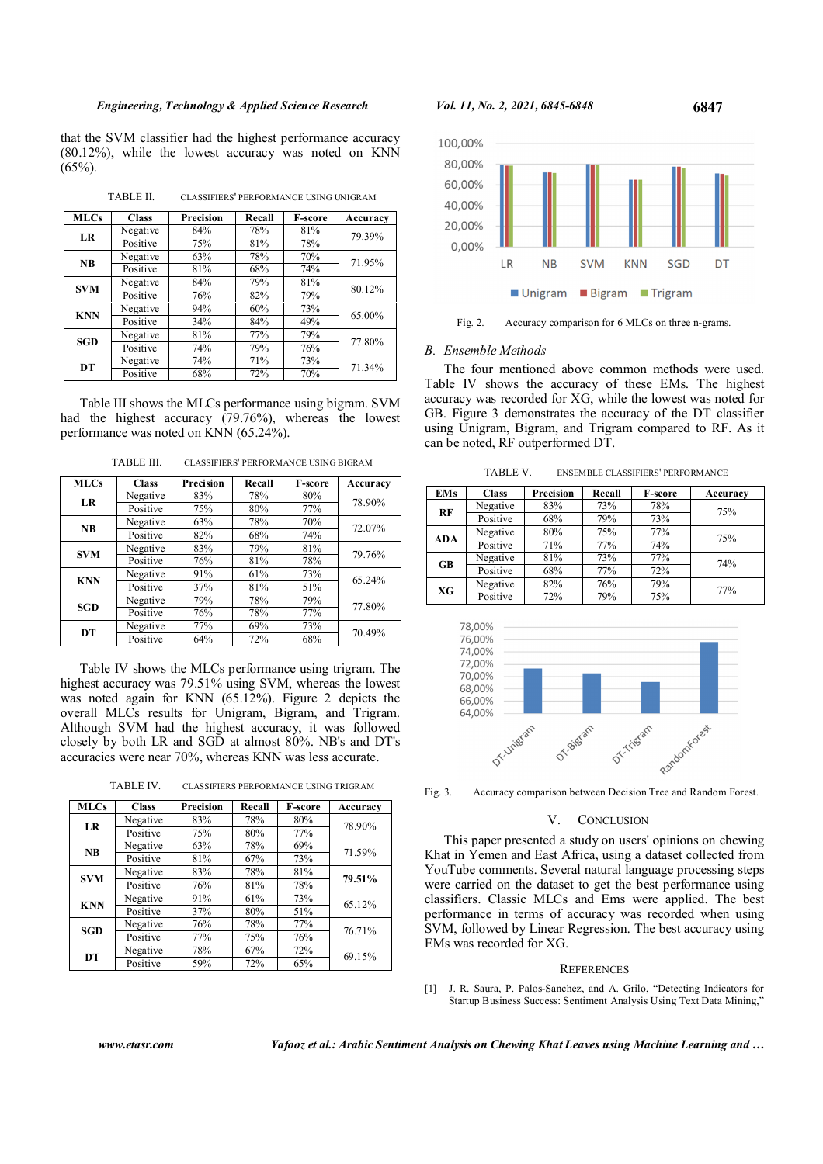that the SVM classifier had the highest performance accuracy (80.12%), while the lowest accuracy was noted on KNN  $(65\%)$ .

TABLE II. CLASSIFIERS' PERFORMANCE USING UNIGRAM

| <b>MLCs</b> | <b>Class</b> | Precision | Recall | <b>F-score</b> | Accuracy |  |
|-------------|--------------|-----------|--------|----------------|----------|--|
| LR          | Negative     | 84%       | 78%    | 81%            | 79.39%   |  |
|             | Positive     | 75%       | 81%    | 78%            |          |  |
| <b>NB</b>   | Negative     | 63%       | 78%    | 70%            | 71.95%   |  |
|             | Positive     | 81%       | 68%    | 74%            |          |  |
| <b>SVM</b>  | Negative     | 84%       | 79%    | 81%            | 80.12%   |  |
|             | Positive     | 76%       | 82%    | 79%            |          |  |
| <b>KNN</b>  | Negative     | 94%       | 60%    | 73%            |          |  |
|             | Positive     | 34%       | 84%    | 49%            | 65.00%   |  |
| <b>SGD</b>  | Negative     | 81%       | 77%    | 79%            | 77.80%   |  |
|             | Positive     | 74%       | 79%    | 76%            |          |  |
| DT          | Negative     | 74%       | 71%    | 73%            | 71.34%   |  |
|             | Positive     | 68%       | 72%    | 70%            |          |  |

Table III shows the MLCs performance using bigram. SVM had the highest accuracy (79.76%), whereas the lowest performance was noted on KNN (65.24%).

TABLE III. CLASSIFIERS' PERFORMANCE USING BIGRAM

| <b>MLCs</b> | <b>Class</b> | Precision | Recall | <b>F-score</b> | Accuracy |
|-------------|--------------|-----------|--------|----------------|----------|
| LR          | Negative     | 83%       | 78%    | 80%            | 78.90%   |
|             | Positive     | 75%       | 80%    | 77%            |          |
| <b>NB</b>   | Negative     | 63%       | 78%    | 70%            | 72.07%   |
|             | Positive     | 82%       | 68%    | 74%            |          |
| <b>SVM</b>  | Negative     | 83%       | 79%    | 81%            | 79.76%   |
|             | Positive     | 76%       | 81%    | 78%            |          |
| <b>KNN</b>  | Negative     | 91%       | 61%    | 73%            | 65.24%   |
|             | Positive     | 37%       | 81%    | 51%            |          |
| <b>SGD</b>  | Negative     | 79%       | 78%    | 79%            | 77.80%   |
|             | Positive     | 76%       | 78%    | 77%            |          |
| DT          | Negative     | 77%       | 69%    | 73%            | 70.49%   |
|             | Positive     | 64%       | 72%    | 68%            |          |

Table IV shows the MLCs performance using trigram. The highest accuracy was 79.51% using SVM, whereas the lowest was noted again for KNN (65.12%). Figure 2 depicts the overall MLCs results for Unigram, Bigram, and Trigram. Although SVM had the highest accuracy, it was followed closely by both LR and SGD at almost 80%. NB's and DT's accuracies were near 70%, whereas KNN was less accurate.

TABLE IV. CLASSIFIERS PERFORMANCE USING TRIGRAM

| <b>MLCs</b> | <b>Class</b> | Precision | Recall | <b>F-score</b> | Accuracy |
|-------------|--------------|-----------|--------|----------------|----------|
| LR          | Negative     | 83%       | 78%    | 80%            | 78.90%   |
|             | Positive     | 75%       | 80%    | 77%            |          |
| <b>NB</b>   | Negative     | 63%       | 78%    | 69%            | 71.59%   |
|             | Positive     | 81%       | 67%    | 73%            |          |
| <b>SVM</b>  | Negative     | 83%       | 78%    | 81%            | 79.51%   |
|             | Positive     | 76%       | 81%    | 78%            |          |
| <b>KNN</b>  | Negative     | 91%       | 61%    | 73%            | 65.12%   |
|             | Positive     | 37%       | 80%    | 51%            |          |
| SGD         | Negative     | 76%       | 78%    | 77%            | 76.71%   |
|             | Positive     | 77%       | 75%    | 76%            |          |
| DT          | Negative     | 78%       | 67%    | 72%            | 69.15%   |
|             | Positive     | 59%       | 72%    | 65%            |          |



Fig. 2. Accuracy comparison for 6 MLCs on three n-grams.

# B. Ensemble Methods

The four mentioned above common methods were used. Table IV shows the accuracy of these EMs. The highest accuracy was recorded for XG, while the lowest was noted for GB. Figure 3 demonstrates the accuracy of the DT classifier using Unigram, Bigram, and Trigram compared to RF. As it can be noted, RF outperformed DT.

TABLE V. ENSEMBLE CLASSIFIERS' PERFORMANCE

| <b>EMs</b> | <b>Class</b> | Precision | Recall | <b>F-score</b> | Accuracy |
|------------|--------------|-----------|--------|----------------|----------|
| RF         | Negative     | 83%       | 73%    | 78%            | 75%      |
|            | Positive     | 68%       | 79%    | 73%            |          |
|            | Negative     | 80%       | 75%    | 77%            | 75%      |
| <b>ADA</b> | Positive     | 71%       | 77%    | 74%            |          |
| <b>GB</b>  | Negative     | 81%       | 73%    | 77%            | 74%      |
|            | Positive     | 68%       | 77%    | 72%            |          |
| XG         | Negative     | 82%       | 76%    | 79%            | 77%      |
|            | Positive     | 72%       | 79%    | 75%            |          |



Fig. 3. Accuracy comparison between Decision Tree and Random Forest.

# V. CONCLUSION

This paper presented a study on users' opinions on chewing Khat in Yemen and East Africa, using a dataset collected from YouTube comments. Several natural language processing steps were carried on the dataset to get the best performance using classifiers. Classic MLCs and Ems were applied. The best performance in terms of accuracy was recorded when using SVM, followed by Linear Regression. The best accuracy using EMs was recorded for XG.

## **REFERENCES**

[1] J. R. Saura, P. Palos-Sanchez, and A. Grilo, "Detecting Indicators for Startup Business Success: Sentiment Analysis Using Text Data Mining,"

www.etasr.com Yafooz et al.: Arabic Sentiment Analysis on Chewing Khat Leaves using Machine Learning and …